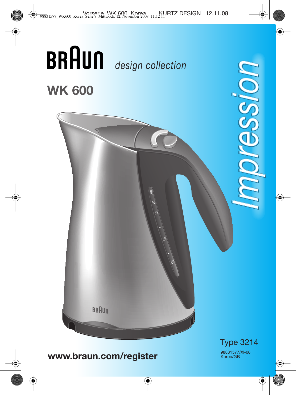

**www.braun.com/register**

98831577/XI-08 Korea/GB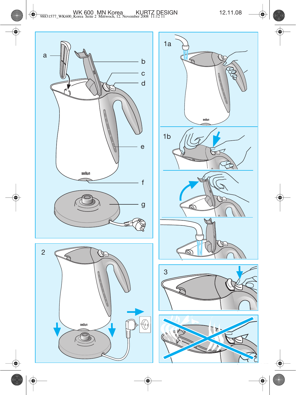



Œ

1a

K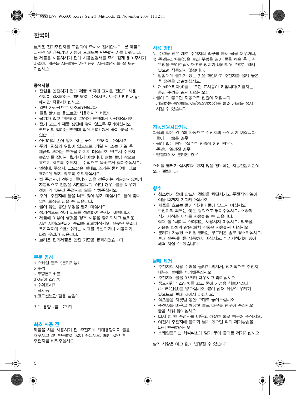ㅂ리우 전기주전자를 구입하여 주셔서 감사합니다. 본 제품의 디자인 및 급속기열 기능에 오래도록 만족하시기를 바랍니다. 본 제품을 시용하시기 전에 사용설명서를 주의 깊게 읽어주시기 바라며, 제품을 시용하는 기간 동안 시용설명서를 잘 보관 하십시오.

# 중요사항

- 전원을 연결하기 전에 제품 바닥에 표시된 전압과 사용 저압이 일치하는지 확인하여 주십시오. 제공된 받침대(g) 에서만 작동시키십시오.
- 일반 가정용으로 제조되었습니다.
- 물을 끓이는 용도로만 시용하시기 바랍니다.
- 물기가 없고 편평하며 고정된 표면에서 사용하십시오.
- 전기 코드가 제품 상단에 닿지 않도록 주의하십시오. 코드선의 길이는 받침대 밑에 감아 짧게 줄여 놓을 수 있습니다.
- 어린이의 손이 닿지 않는 곳에 보관하여 주십시오.
- 주의: 화상의 위험이 있으므로, 가열 시 또는 가열 후 제품의 뜨거운 표면을 만지지 마십시오. 반드시 주전자 손잡이를 잡아서 옮기시기 바랍니다. 끓는 물이 밖으로 흐르지 않도록 주전자는 수직으로 똑바르게 잡아주십시오.
- 받침대, 주전자, 코드선은 절대로 뜨거운 물체(예: 난로 표면)에 닿지 않도록 주의하십시오.
- 빈 주전자에 전원이 들어와 있을 경우에는 과열방지장치가 자동적으로 전원을 차단합니다. 이런 경우, 물을 채우기 전에 약 10분간 주전자의 열을 식혀주십시오.
- 주의: 주전자에 물을 너무 많이 넣지 마십시오. 물이 끓어 넘쳐 화상을 입을 수 있습니다.
- 물이 끓는 동안 뚜껑을 열지 마십시오.
- 정기적으로 전기 코드를 점검하여 주시기 바랍니다.
- 제품에 이상이 생겼을 경우 사용을 중지하시고 ㅂ라운 지정 서비스센터에 수리를 의뢰하십시오. 잘못된 수리나 무자격자에 의한 수리는 사고를 유발하거나 사용자가 다칠 우려가 있습니다.
- 브라운 전기제품은 안전 기준을 통과하였습니다.

# 부분 명칭

- a 스케일 필터 (분리가능)
- **b 뚜껑**
- c 뚜껑분리버튼
- d On/off 스위치
- e 수위표시기
- f 표시등
- g 코드선보관 겸용 받침대

최대 용량 :물 1.7리터

### 최초 사용 전

제품을 처음 시용하기 전, 주전자에 최대용량까지 물을 채우시고 2번 반복하여 끓여 주십시오. 매번 끓인 후 주전자를 비워주십시오

# 사용 방법

- 1a 뚜껑을 닫은 채로 주전자의 입구를 통해 물을 채우거나.
- 1b 뚜껑부리버튼(c)을 눌러 뚜껑을 열어 물을 채우 후 다시 뚜껑을 닫아주십시오(안전장치가 내정되어 뚜껑이 열려 있으면 작동되지 않습니다).
- 2 받침대에 물기가 없는 것을 확인하고 주전자를 올려 놓은 후 전원을 연결하십시오.
- 3 On/off스위치(d)를 누르면 표시등이 켜집니다(가열하는 동안 뚜껑을 열지 마십시오).
- 4 물이 다 끓으면 자동으로 전원이 꺼집니다. 가열하는 동안에도 On/off스위치(d)를 눌러 가열을 중지 시킬 수 있습니다.

### 자동전원차단기능

다음과 같은 경우에 자동으로 주전자의 스위치가 꺼집니다.

- 물이 다 끓은 경우
- 물이 없는 경우 (실수로 전원이 켜진 경우).
- 뚜껑이 열려지 경우.
- 받침대에서 분리된 경우

스케일 필터가 설치되어 있지 않을 경우에는 자동전원차단이 오래 걸립니다.

# 청소

- 청소하기 전에 반드시 전원을 차단시키고 주전자의 열이 식을 때까지 기다려주십시오.
- 제품을 흐르는 물에 닦거나 물에 담그지 마십시오. 주전자의 외부는 젖은 헝겊으로 닦아주십시오. 소량의 식기 세척용 세제를 사용하실 수 있습니다. 절대 철수세미나 연마제는 사용하지 마십시오. 알코올, 가솔리 벤제과 같은 화학 약품은 사용하지 마십시오.
- 분리가 가능한 스케일 필터는 부드러운 솔로 청소하십시오. 절대 철수세미를 사용하지 마십시오. 식기세척기에 넣어 세척 하실 수 있습니다.

# 물때 제거

- 주전자의 사용 수명을 늘리기 위해서, 정기적으로 주전자 내부의 물때를 제거해주십시오.
- 주전자에 물을 0.8리터 채우시고 끓이십시오.
- 중요시항 : 스위치를 끄고 물에 가정용 식초0.4리터 (4~5%산성)를 넣으십시오. 끓어 넘쳐 화상의 우려가 있으므로 절대 끓이지 마십시오.
- 식초물을 하룻밤 동안 그대로 놓아두십시오.
- 주전자를 비우고 깨끗한 물로 내부를 헹구어 주십시오. 물을 채워 끓이십시오.
- 다시 한 번 주전자를 비우고 깨끗한 물로 헹구어 주십시오.
- 여전히 주전자에 물때가 남아 있으면 위의 제거방법을 다시 반복하십시오.
- 스케일필터는 희석식초에 담가 두어 물때를 제거하십시오.

상기 사항은 예고 없이 변경될 수 있습니다.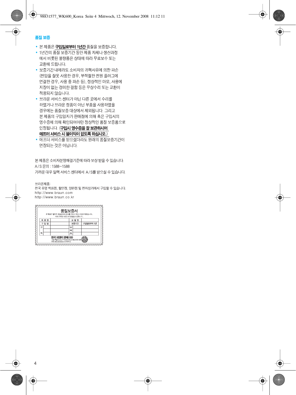### 품질 보증

- 본 제품은 **구입일로부터 1년간** 품질을 보증합니다.
- 1년간의 품질 보증기간 동안 제품 자체나 생산과정 에서 비롯된 불량품은 상태에 따라 무료보수 또는 교화해 드립니다
- 보증기가 내에라도 소비자의 귀책사유에 의한 파손 (전압을 잘못 사용한 경우, 부적절한 전원 플러그에 연결한 경우, 사용 중 파손 등), 정상적인 마모, 사용에 지장이 없는 경미한 결함 등은 무상수리 또는 교환이 적용되지 않습니다.
- 브라운 서비스 센터가 아닌 다른 곳에서 수리를 하였거나 브라운 정품이 아닌 부품을 사용하였을 경우에는 품질보증 대상에서 제외됩니다. 그리고 본 제품의 구입일자가 판매점에 의해 혹은 구입시의 영수증에 의해 확인되어야만 정상적인 품질 보증품으로 인정됩니다. (구입시 영수증을 잘 보관하시어 애프터 서비스 시 불이익이 없도록 하십시오.)
- 애프터 서비스를 받으셨더라도 원래의 품질보증기간이 연장되는 것은 아닙니다.

본 제품은 소비자분쟁해결기준에 따라 보상 받을 수 있습니다. A/S 문의 : 1588-1588 가까운 대우 일렉 서비스 센터에서 A/S를 받으실 수 있습니다.

브라운제품:

전국 유명 백화점, 할인점, 양판점 및 전자상가에서 구입할 수 있습니다. http://www.braun.com http://www.braun.co.kr

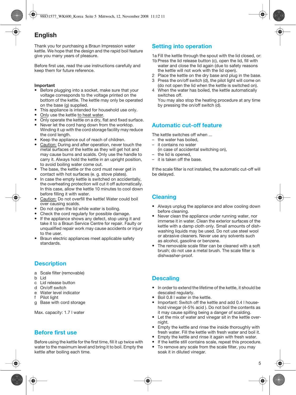# **English**

Thank you for purchasing a Braun Impression water kettle. We hope that the design and the rapid boil feature give you many years of pleasure.

Before first use, read the use instructions carefully and keep them for future reference.

### **Important**

- Before plugging into a socket, make sure that your voltage corresponds to the voltage printed on the bottom of the kettle. The kettle may only be operated on the base (g) supplied.
- This appliance is intended for household use only.
- Only use the kettle to heat water.
- Only operate the kettle on a dry, flat and fixed surface.
- Never let the cord hang down from the worktop. Winding it up with the cord storage facility may reduce the cord length.
- Keep the appliance out of reach of children.
- Caution: During and after operation, never touch the metal surfaces of the kettle as they will get hot and may cause burns and scalds. Only use the handle to carry it. Always hold the kettle in an upright position, to avoid boiling water come out.
- The base, the kettle or the cord must never get in contact with hot surfaces (e. g. stove plates).
- In case the empty kettle is switched on accidentally. the overheating protection will cut it off automatically. In this case, allow the kettle 10 minutes to cool down before filling it with water.
- Caution: Do not overfill the kettle! Water could boil over causing scalds.
- Do not open the lid while water is boiling.
- Check the cord regularly for possible damage.
- If the appliance shows any defect, stop using it and take it to a Braun Service Centre for repair. Faulty or unqualified repair work may cause accidents or injury to the user.
- Braun electric appliances meet applicable safety standards.

# **Description**

- a Scale filter (removable)
- b Lid
- c Lid release button
- d On/off switch
- e Water level indicator
- f Pilot light
- g Base with cord storage

Max. capacity: 1.7 l water

# **Before first use**

Before using the kettle for the first time, fill it up twice with water to the maximum level and bring it to boil. Empty the kettle after boiling each time.

# **Setting into operation**

1a Fill the kettle through the spout with the lid closed, or:

- 1b Press the lid release button (c), open the lid, fill with water and close the lid again (due to safety reasons the kettle will not work with the lid open).
- 2 Place the kettle on the dry base and plug in the base.
- 3 Press the on/off switch (d), the pilot light will come on (do not open the lid when the kettle is switched on).
- 4 When the water has boiled, the kettle automatically switches off. You may also stop the heating procedure at any time by pressing the on/off switch (d).

# **Automatic cut-off feature**

The kettle switches off when ...

- the water has boiled,
- it contains no water (in case of accidental switching on),
- the lid is opened,
- it is taken off the base.

If the scale filter is not installed, the automatic cut-off will be delayed.

# **Cleaning**

- Always unplug the appliance and allow cooling down before cleaning.
- Never clean the appliance under running water, nor immerse it in water. Clean the exterior surfaces of the kettle with a damp cloth only. Small amounts of dishwashing liquids may be used. Do not use steel wool or abrasive cleaners. Never use any solvents such as alcohol, gasoline or benzene.
- The removable scale filter can be cleaned with a soft brush; do not use a metal brush. The scale filter is dishwasher-proof.

# **Descaling**

- In order to extend the lifetime of the kettle, it should be descaled regularly.
- Boil 0.8 l water in the kettle.
- Important: Switch off the kettle and add 0.4 I household vinegar (4-5% acid ). Do not boil the contents as it may cause spilling being a danger of scalding.
- Let the mix of water and vinegar sit in the kettle overnight.
- Empty the kettle and rinse the inside thoroughly with fresh water. Fill the kettle with fresh water and boil it.
- Empty the kettle and rinse it again with fresh water.
- If the kettle still contains scale, repeat this procedure.<br>• To remove any scale from the scale filter, you may
- To remove any scale from the scale filter, you may soak it in diluted vinegar.